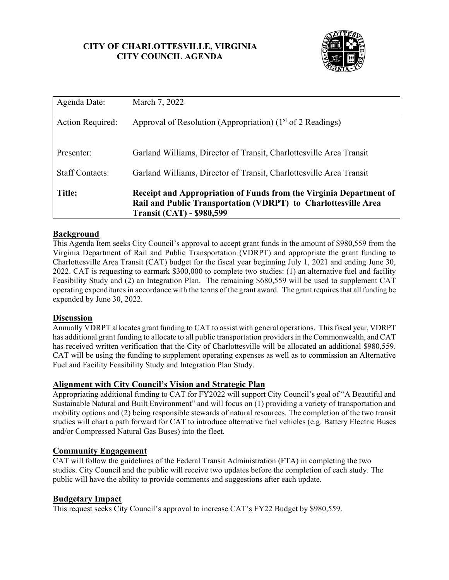## **CITY OF CHARLOTTESVILLE, VIRGINIA CITY COUNCIL AGENDA**



| Agenda Date:            | March 7, 2022                                                                                                                                                            |  |
|-------------------------|--------------------------------------------------------------------------------------------------------------------------------------------------------------------------|--|
| <b>Action Required:</b> | Approval of Resolution (Appropriation) $(1st$ of 2 Readings)                                                                                                             |  |
|                         |                                                                                                                                                                          |  |
| Presenter:              | Garland Williams, Director of Transit, Charlottesville Area Transit                                                                                                      |  |
| <b>Staff Contacts:</b>  | Garland Williams, Director of Transit, Charlottesville Area Transit                                                                                                      |  |
| <b>Title:</b>           | Receipt and Appropriation of Funds from the Virginia Department of<br>Rail and Public Transportation (VDRPT) to Charlottesville Area<br><b>Transit (CAT) - \$980,599</b> |  |

## **Background**

This Agenda Item seeks City Council's approval to accept grant funds in the amount of \$980,559 from the Virginia Department of Rail and Public Transportation (VDRPT) and appropriate the grant funding to Charlottesville Area Transit (CAT) budget for the fiscal year beginning July 1, 2021 and ending June 30, 2022. CAT is requesting to earmark \$300,000 to complete two studies: (1) an alternative fuel and facility Feasibility Study and (2) an Integration Plan. The remaining \$680,559 will be used to supplement CAT operating expenditures in accordance with the terms of the grant award. The grantrequires that all funding be expended by June 30, 2022.

## **Discussion**

Annually VDRPT allocates grant funding to CAT to assist with general operations. This fiscal year, VDRPT has additional grant funding to allocate to all public transportation providers in the Commonwealth, and CAT has received written verification that the City of Charlottesville will be allocated an additional \$980,559. CAT will be using the funding to supplement operating expenses as well as to commission an Alternative Fuel and Facility Feasibility Study and Integration Plan Study.

## **Alignment with City Council's Vision and Strategic Plan**

Appropriating additional funding to CAT for FY2022 will support City Council's goal of "A Beautiful and Sustainable Natural and Built Environment" and will focus on (1) providing a variety of transportation and mobility options and (2) being responsible stewards of natural resources. The completion of the two transit studies will chart a path forward for CAT to introduce alternative fuel vehicles (e.g. Battery Electric Buses and/or Compressed Natural Gas Buses) into the fleet.

## **Community Engagement**

CAT will follow the guidelines of the Federal Transit Administration (FTA) in completing the two studies. City Council and the public will receive two updates before the completion of each study. The public will have the ability to provide comments and suggestions after each update.

#### **Budgetary Impact**

This request seeks City Council's approval to increase CAT's FY22 Budget by \$980,559.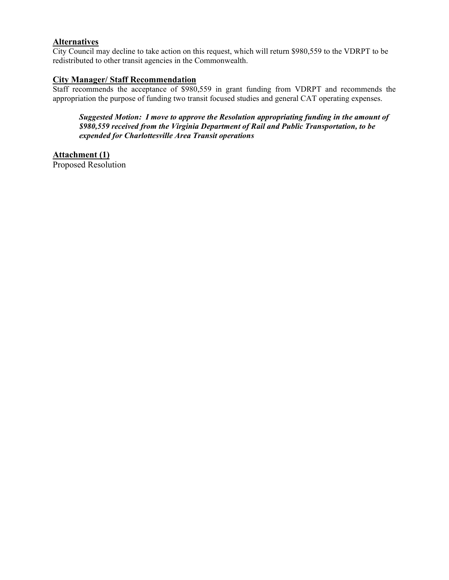## **Alternatives**

City Council may decline to take action on this request, which will return \$980,559 to the VDRPT to be redistributed to other transit agencies in the Commonwealth.

## **City Manager/ Staff Recommendation**

Staff recommends the acceptance of \$980,559 in grant funding from VDRPT and recommends the appropriation the purpose of funding two transit focused studies and general CAT operating expenses.

*Suggested Motion: I move to approve the Resolution appropriating funding in the amount of \$980,559 received from the Virginia Department of Rail and Public Transportation, to be expended for Charlottesville Area Transit operations*

**Attachment (1)** Proposed Resolution